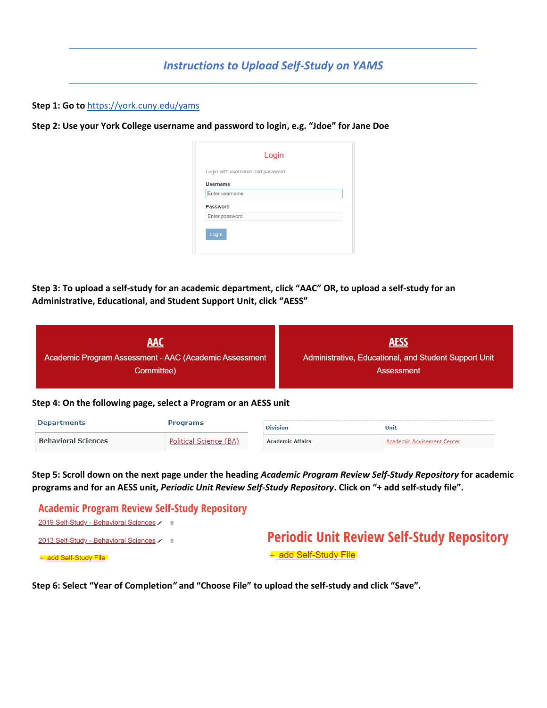## *Instructions to Upload Self-Study on YAMS*

**Step 1: Go to** <https://york.cuny.edu/yams>

**Step 2: Use your York College username and password to login, e.g. "Jdoe" for Jane Doe** 

|                 | Login with username and password |  |
|-----------------|----------------------------------|--|
| <b>Username</b> |                                  |  |
| Enter username  |                                  |  |
| <b>Password</b> |                                  |  |
| Enter password  |                                  |  |
|                 |                                  |  |

**Step 3: To upload a self-study for an academic department, click "AAC" OR, to upload a self-study for an Administrative, Educational, and Student Support Unit, click "AESS"**

| AAC                                                    | <b>AESS</b>                                           |
|--------------------------------------------------------|-------------------------------------------------------|
| Academic Program Assessment - AAC (Academic Assessment | Administrative, Educational, and Student Support Unit |
| Committee)                                             | Assessment                                            |

## **Step 4: On the following page, select a Program or an AESS unit**

| <b>Departments</b>         | rograms                | <b>Division</b>         | Unit                       |
|----------------------------|------------------------|-------------------------|----------------------------|
| <b>Behavioral Sciences</b> | Political Science (BA) | <b>Academic Affairs</b> | Academic Advisement Center |

**Step 5: Scroll down on the next page under the heading** *Academic Program Review Self-Study Repository* **for academic programs and for an AESS unit,** *Periodic Unit Review Self-Study Repository***. Click on "+ add self-study file".** 

| <b>Academic Program Review Self-Study Repository</b> |                                                   |
|------------------------------------------------------|---------------------------------------------------|
| 2019 Self-Study - Behavioral Sciences / <del>□</del> |                                                   |
| 2013 Self-Study - Behavioral Sciences / <del>□</del> | <b>Periodic Unit Review Self-Study Repository</b> |
| + add Self-Study File                                | + add Self-Study File                             |

**Step 6: Select "Year of Completion***"* **and "Choose File" to upload the self-study and click "Save".**